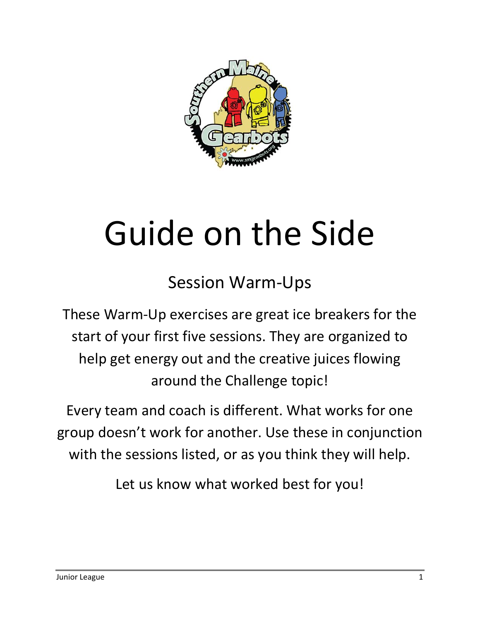

## Guide on the Side

Session Warm‐Ups

These Warm‐Up exercises are great ice breakers for the start of your first five sessions. They are organized to help get energy out and the creative juices flowing around the Challenge topic!

Every team and coach is different. What works for one group doesn't work for another. Use these in conjunction with the sessions listed, or as you think they will help.

Let us know what worked best for you!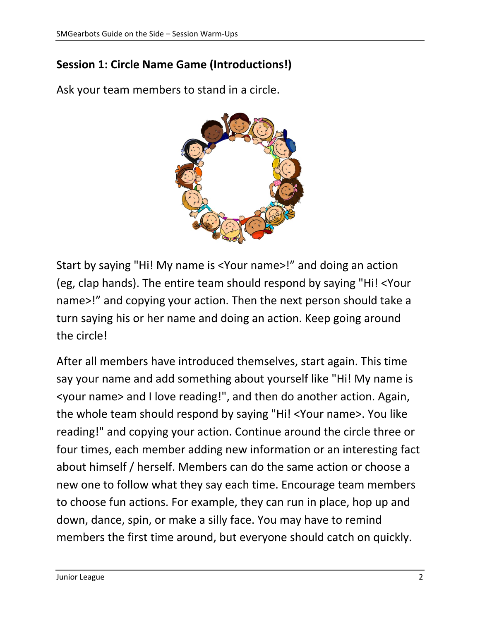## **Session 1: Circle Name Game (Introductions!)**

Ask your team members to stand in a circle.



Start by saying "Hi! My name is <Your name>!" and doing an action (eg, clap hands). The entire team should respond by saying "Hi! <Your name>!" and copying your action. Then the next person should take a turn saying his or her name and doing an action. Keep going around the circle!

After all members have introduced themselves, start again. This time say your name and add something about yourself like "Hi! My name is <your name> and I love reading!", and then do another action. Again, the whole team should respond by saying "Hi! <Your name>. You like reading!" and copying your action. Continue around the circle three or four times, each member adding new information or an interesting fact about himself / herself. Members can do the same action or choose a new one to follow what they say each time. Encourage team members to choose fun actions. For example, they can run in place, hop up and down, dance, spin, or make a silly face. You may have to remind members the first time around, but everyone should catch on quickly.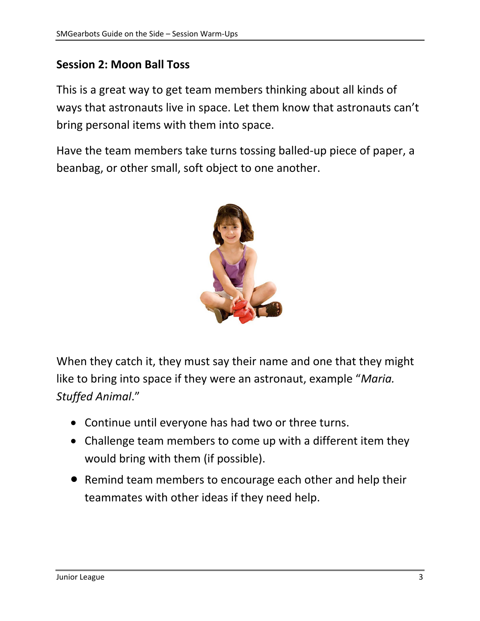## **Session 2: Moon Ball Toss**

This is a great way to get team members thinking about all kinds of ways that astronauts live in space. Let them know that astronauts can't bring personal items with them into space.

Have the team members take turns tossing balled‐up piece of paper, a beanbag, or other small, soft object to one another.



When they catch it, they must say their name and one that they might like to bring into space if they were an astronaut, example "*Maria. Stuffed Animal*."

- Continue until everyone has had two or three turns.
- Challenge team members to come up with a different item they would bring with them (if possible).
- Remind team members to encourage each other and help their teammates with other ideas if they need help.